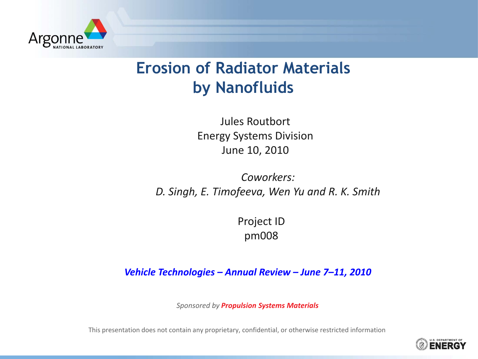

### **Erosion of Radiator Materials by Nanofluids**

Jules Routbort Energy Systems Division June 10, 2010

*Coworkers: D. Singh, E. Timofeeva, Wen Yu and R. K. Smith*

> Project ID pm008

*Vehicle Technologies – Annual Review – June 7–11, 2010*

*Sponsored by Propulsion Systems Materials*

This presentation does not contain any proprietary, confidential, or otherwise restricted information

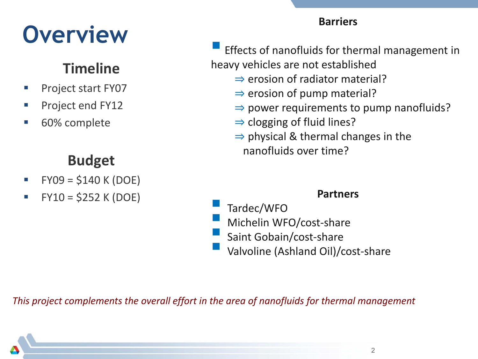# **Overview**

### **Timeline**

- **Project start FY07**
- Project end FY12
- 60% complete

### **Budget**

- $FY09 = $140 K (DOE)$
- FY10 = \$252 K (DOE)

### **Barriers**

 Effects of nanofluids for thermal management in heavy vehicles are not established

- ⇒ erosion of radiator material?
- $\Rightarrow$  erosion of pump material?
- $\Rightarrow$  power requirements to pump nanofluids?
- $\Rightarrow$  clogging of fluid lines?
- $\Rightarrow$  physical & thermal changes in the nanofluids over time?

### **Partners**

- Tardec/WFO
- Michelin WFO/cost-share
- Saint Gobain/cost-share
- Valvoline (Ashland Oil)/cost-share

*This project complements the overall effort in the area of nanofluids for thermal management*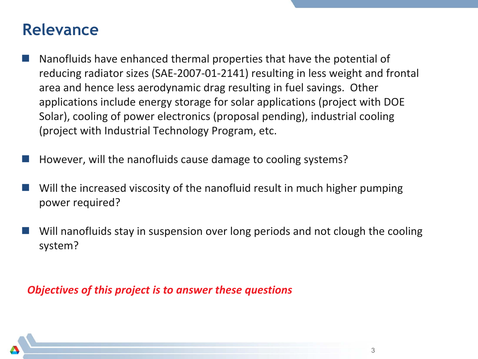### **Relevance**

- Nanofluids have enhanced thermal properties that have the potential of reducing radiator sizes (SAE-2007-01-2141) resulting in less weight and frontal area and hence less aerodynamic drag resulting in fuel savings. Other applications include energy storage for solar applications (project with DOE Solar), cooling of power electronics (proposal pending), industrial cooling (project with Industrial Technology Program, etc.
- However, will the nanofluids cause damage to cooling systems?
- Will the increased viscosity of the nanofluid result in much higher pumping power required?
- Will nanofluids stay in suspension over long periods and not clough the cooling system?

#### *Objectives of this project is to answer these questions*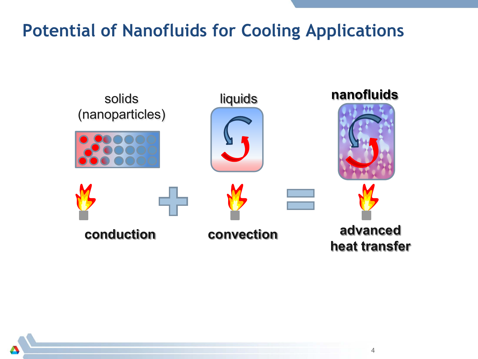### **Potential of Nanofluids for Cooling Applications**

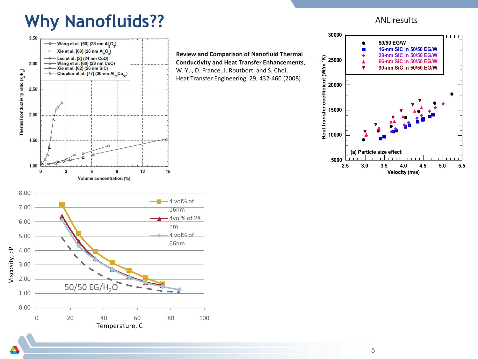### **Why Nanofluids??**

3.50 —o— Wang et al. [60] (28 nm Al O2)  $\overline{B}$  Xie et al. [63] (26 nm Al O ) Lee et al. [2] (24 nm CuO)<br>Wang et al. [60] (23 nm CuO)  $\rightarrow$ 3.00  $\overline{\phantom{a}}$ —⊽— Xie et al. [62] (26 nm SiC) Thermal conductivity ratio  $(k_{\rm e}/k_{\rm m})$  $\frac{1}{100}$  Chopkar et al. [77] (30 nm Al<sub>70</sub>Cu<sub>30</sub>) 2.50 2.00 1.50 1.00  $\mathbf{0}$ 3 6 g 12 15 **Volume concentration (%)** 8.00 6.00 nm 5.00

**Review and Comparison of Nanofluid Thermal Conductivity and Heat Transfer Enhancements**, W. Yu, D. France, J. Routbort, and S. Choi, Heat Transfer Engineering, 29, 432-460 (2008)

#### ANL results



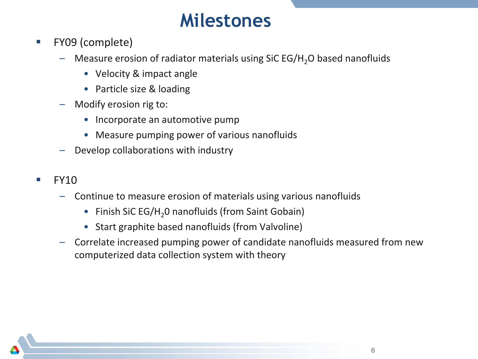## **Milestones**

- **FY09 (complete)** 
	- $-$  Measure erosion of radiator materials using SiC EG/H<sub>2</sub>O based nanofluids
		- Velocity & impact angle
		- Particle size & loading
	- Modify erosion rig to:
		- Incorporate an automotive pump
		- Measure pumping power of various nanofluids
	- Develop collaborations with industry
- FY10
	- Continue to measure erosion of materials using various nanofluids
		- Finish SiC EG/H<sub>2</sub>O nanofluids (from Saint Gobain)
		- Start graphite based nanofluids (from Valvoline)
	- Correlate increased pumping power of candidate nanofluids measured from new computerized data collection system with theory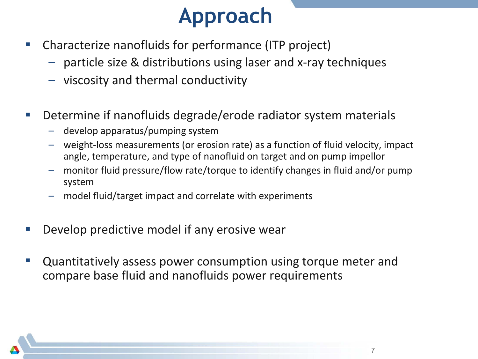## **Approach**

- Characterize nanofluids for performance (ITP project)
	- particle size & distributions using laser and x-ray techniques
	- viscosity and thermal conductivity
- Determine if nanofluids degrade/erode radiator system materials
	- develop apparatus/pumping system
	- weight-loss measurements (or erosion rate) as a function of fluid velocity, impact angle, temperature, and type of nanofluid on target and on pump impellor
	- monitor fluid pressure/flow rate/torque to identify changes in fluid and/or pump system
	- model fluid/target impact and correlate with experiments
- Develop predictive model if any erosive wear
- Quantitatively assess power consumption using torque meter and compare base fluid and nanofluids power requirements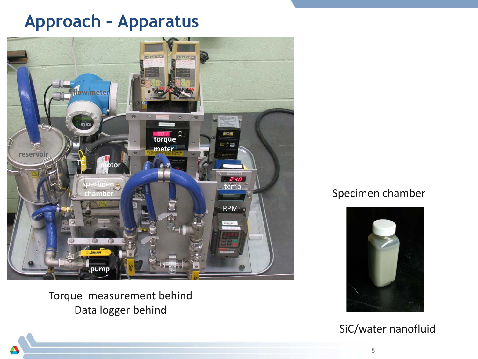### **Approach – Apparatus**



Torque measurement behind Data logger behind

#### Specimen chamber



SiC/water nanofluid

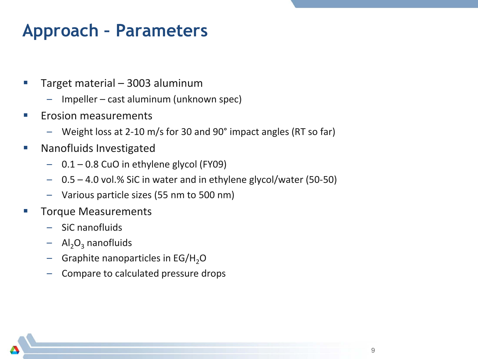## **Approach – Parameters**

- Target material 3003 aluminum
	- Impeller cast aluminum (unknown spec)
- **Example 2** Erosion measurements
	- Weight loss at 2-10 m/s for 30 and 90° impact angles (RT so far)
- **Nanofluids Investigated** 
	- 0.1 0.8 CuO in ethylene glycol (FY09)
	- 0.5 4.0 vol.% SiC in water and in ethylene glycol/water (50-50)
	- Various particle sizes (55 nm to 500 nm)
- Torque Measurements
	- SiC nanofluids
	- $-$  Al<sub>2</sub>O<sub>3</sub> nanofluids
	- $-$  Graphite nanoparticles in EG/H<sub>2</sub>O
	- Compare to calculated pressure drops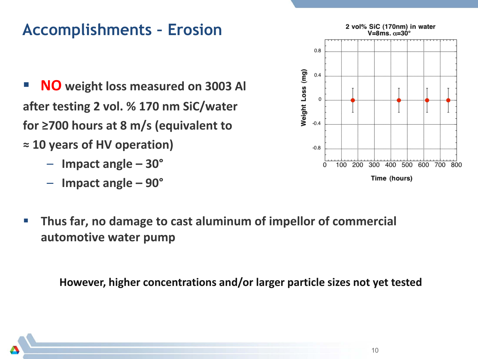### **Accomplishments – Erosion**

- **NO weight loss measured on 3003 Al after testing 2 vol. % 170 nm SiC/water for ≥700 hours at 8 m/s (equivalent to ≈ 10 years of HV operation)** 
	- **Impact angle – 30°**
	- **Impact angle – 90°**



 **Thus far, no damage to cast aluminum of impellor of commercial automotive water pump**

**However, higher concentrations and/or larger particle sizes not yet tested**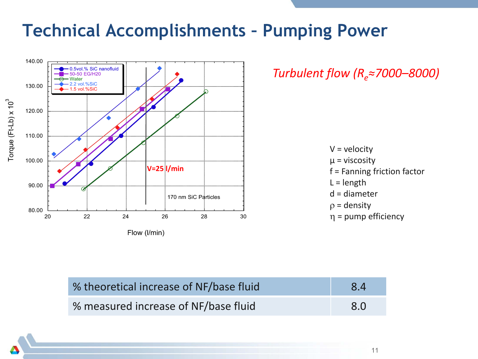### **Technical Accomplishments – Pumping Power**



*Turbulent flow (Re≈7000–8000)*

 $V =$  velocity  $\mu$  = viscosity f = Fanning friction factor  $L = length$ d = diameter  $\rho =$  density η = pump efficiency

| % theoretical increase of NF/base fluid | 8.4 |
|-----------------------------------------|-----|
| % measured increase of NF/base fluid    | 8.0 |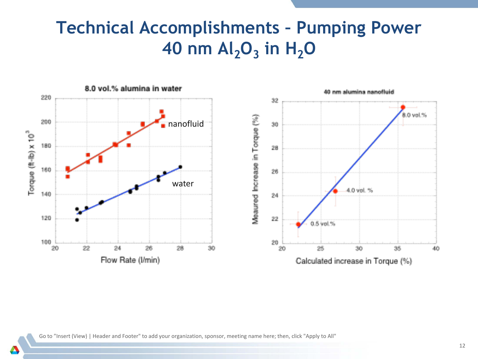## **Technical Accomplishments – Pumping Power 40 nm Al<sub>2</sub>O<sub>3</sub> in H<sub>2</sub>O**



Go to "Insert (View) | Header and Footer" to add your organization, sponsor, meeting name here; then, click "Apply to All"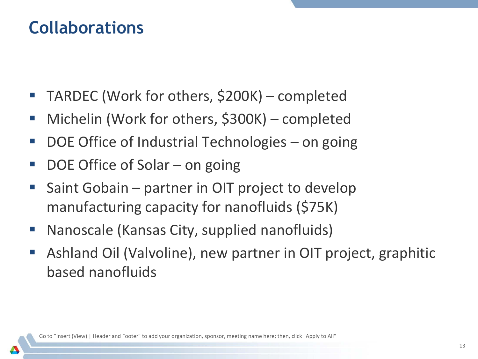### **Collaborations**

- TARDEC (Work for others, \$200K) completed
- Michelin (Work for others, \$300K) completed
- DOE Office of Industrial Technologies on going
- DOE Office of Solar on going
- **Saint Gobain partner in OIT project to develop** manufacturing capacity for nanofluids (\$75K)
- Nanoscale (Kansas City, supplied nanofluids)
- Ashland Oil (Valvoline), new partner in OIT project, graphitic based nanofluids

Go to "Insert (View) | Header and Footer" to add your organization, sponsor, meeting name here; then, click "Apply to All"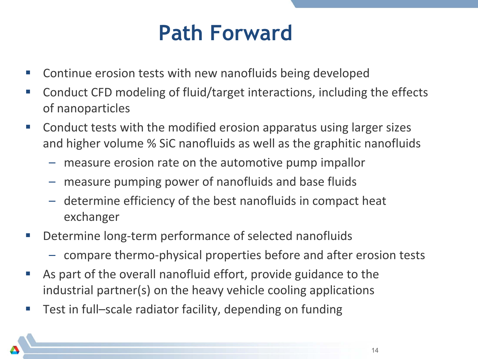## **Path Forward**

- Continue erosion tests with new nanofluids being developed
- Conduct CFD modeling of fluid/target interactions, including the effects of nanoparticles
- Conduct tests with the modified erosion apparatus using larger sizes and higher volume % SiC nanofluids as well as the graphitic nanofluids
	- measure erosion rate on the automotive pump impallor
	- measure pumping power of nanofluids and base fluids
	- determine efficiency of the best nanofluids in compact heat exchanger
- **Determine long-term performance of selected nanofluids** 
	- compare thermo-physical properties before and after erosion tests
- As part of the overall nanofluid effort, provide guidance to the industrial partner(s) on the heavy vehicle cooling applications
- Test in full–scale radiator facility, depending on funding